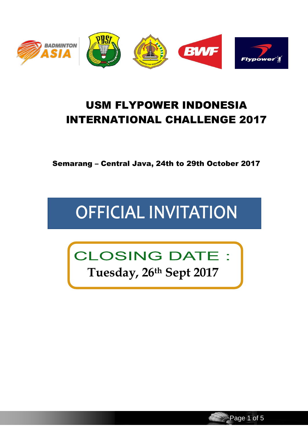

# USM FLYPOWER INDONESIA INTERNATIONAL CHALLENGE 2017

Semarang – Central Java, 24th to 29th October 2017

# **OFFICIAL INVITATION**



**Tuesday, 26th Sept 2017**

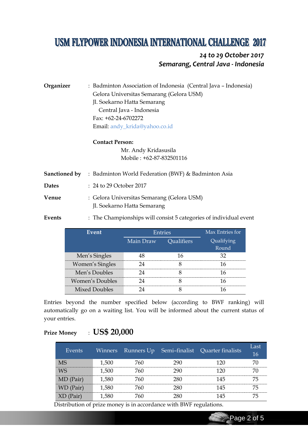# **USM FLYPOWER INDONESIA INTERNATIONAL CHALLENGE 2017**

## *24 to 29 October 2017 Semarang, Central Java - Indonesia*

**Organizer** : Badminton Association of Indonesia (Central Java – Indonesia) Gelora Universitas Semarang (Gelora USM) Jl. Soekarno Hatta Semarang Central Java - Indonesia Fax: +62-24-6702272 Email: andy\_krida@yahoo.co.id

**Contact Person:**

Mr. Andy Kridasusila Mobile : +62-87-832501116

**Sanctioned by** : Badminton World Federation (BWF) & Badminton Asia **Dates** : 24 to 29 October 2017 **Venue** : Gelora Universitas Semarang (Gelora USM) Jl. Soekarno Hatta Semarang **Events** : The Championships will consist 5 categories of individual event

| Event           | Entries   |                   | Max Entries for |
|-----------------|-----------|-------------------|-----------------|
|                 | Main Draw | <b>Qualifiers</b> | Qualifying      |
|                 |           |                   | Round           |
| Men's Singles   |           | I6                |                 |
| Women's Singles |           |                   | 16              |
| Men's Doubles   |           |                   | 16              |
| Women's Doubles |           |                   |                 |
| Mixed Doubles   |           |                   |                 |

Entries beyond the number specified below (according to BWF ranking) will automatically go on a waiting list. You will be informed about the current status of your entries.

## **Prize Money** : **US\$ 20,000**

| Events      | Winners | Runners Up |     | Semi-finalist Quarter finalists | Last<br>16 |
|-------------|---------|------------|-----|---------------------------------|------------|
| <b>MS</b>   | 1,500   | 760        | 290 | 120                             | 70         |
| <b>WS</b>   | 1,500   | 760        | 290 | 120                             | 70         |
| MD (Pair)   | 1,580   | 760        | 280 | 145                             | 75         |
| WD (Pair)   | 1,580   | 760        | 280 | 145                             | 75         |
| $XD$ (Pair) | 1,580   | 760        | 280 | 145                             | 75         |

Distribution of prize money is in accordance with BWF regulations.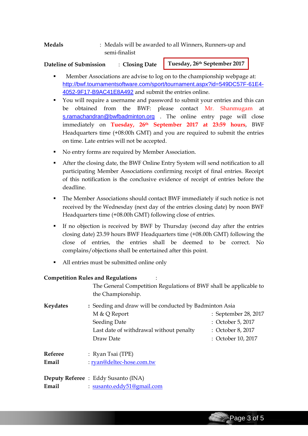**Medals** : Medals will be awarded to all Winners, Runners-up and semi-finalist

#### **Dateline of Submission** : **Closing Date**

**Tuesday, 26th September 2017**

- Member Associations are advise to log on to the championship webpage at: [http://bwf.tournamentsoftware.com/sport/tournament.aspx?id=549DC57F-61E4-](http://bwf.tournamentsoftware.com/sport/tournament.aspx?id=549DC57F-61E4-4052-9F17-B9AC41E8A492) [4052-9F17-B9AC41E8A492](http://bwf.tournamentsoftware.com/sport/tournament.aspx?id=549DC57F-61E4-4052-9F17-B9AC41E8A492) and submit the entries online.
- You will require a username and password to submit your entries and this can be obtained from the BWF: please contact Mr. Shanmugam at [s.ramachandran@bwfbadminton.org](mailto:s.ramachandran@bwfbadminton.org) . The online entry page will close immediately on **Tuesday, 26th September 2017 at 23:59 hours**, BWF Headquarters time (+08:00h GMT) and you are required to submit the entries on time. Late entries will not be accepted.
- No entry forms are required by Member Association.
- After the closing date, the BWF Online Entry System will send notification to all participating Member Associations confirming receipt of final entries. Receipt of this notification is the conclusive evidence of receipt of entries before the deadline.
- The Member Associations should contact BWF immediately if such notice is not received by the Wednesday (next day of the entries closing date) by noon BWF Headquarters time (+08.00h GMT) following close of entries.
- If no objection is received by BWF by Thursday (second day after the entries closing date) 23.59 hours BWF Headquarters time (+08.00h GMT) following the close of entries, the entries shall be deemed to be correct. No complains/objections shall be entertained after this point.
- All entries must be submitted online only

#### **Competition Rules and Regulations** :

The General Competition Regulations of BWF shall be applicable to the Championship.

| Keydates | : Seeding and draw will be conducted by Badminton Asia |                      |  |  |
|----------|--------------------------------------------------------|----------------------|--|--|
|          | M & Q Report                                           | : September 28, 2017 |  |  |
|          | Seeding Date                                           | : October 5, 2017    |  |  |
|          | Last date of withdrawal without penalty                | : October 8, 2017    |  |  |
|          | Draw Date                                              | : October 10, 2017   |  |  |
|          |                                                        |                      |  |  |

**Referee** : Ryan Tsai (TPE) **Email** : [ryan@deltec-hose.com.tw](mailto:ryan@deltec-hose.com.tw)

**Deputy Referee** : Eddy Susanto (INA) **Email** : [susanto.eddy51@gmail.com](mailto:susanto.eddy51@gmail.com)

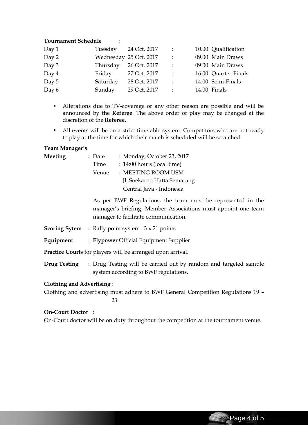#### **Tournament Schedule** :

| Day 1 |          | Tuesday 24 Oct. 2017   | $\mathbb{R}^2$ | 10.00 Qualification  |
|-------|----------|------------------------|----------------|----------------------|
| Day 2 |          | Wednesday 25 Oct. 2017 | $\mathbb{R}^2$ | 09.00 Main Draws     |
| Day 3 | Thursday | 26 Oct. 2017           | $\cdot$ :      | 09.00 Main Draws     |
| Day 4 | Friday   | 27 Oct. 2017           | $\therefore$   | 16.00 Quarter-Finals |
| Day 5 | Saturday | 28 Oct. 2017           | $\cdot$ :      | 14.00 Semi-Finals    |
| Day 6 | Sunday   | 29 Oct. 2017           | $\cdot$ :      | 14.00 Finals         |

- Alterations due to TV-coverage or any other reason are possible and will be announced by the **Referee**. The above order of play may be changed at the discretion of the **Referee**.
- All events will be on a strict timetable system. Competitors who are not ready to play at the time for which their match is scheduled will be scratched.

#### **Team Manager's**

| Meeting | : Date | : Monday, October 23, 2017  |
|---------|--------|-----------------------------|
|         | Time   | : 14:00 hours (local time)  |
|         | Venue  | : MEETING ROOM USM          |
|         |        | Jl. Soekarno Hatta Semarang |
|         |        | Central Java - Indonesia    |

As per BWF Regulations, the team must be represented in the manager's briefing. Member Associations must appoint one team manager to facilitate communication.

- **Scoring Sytem :** Rally point system : 3 x 21 points
- **Equipment** : **Flypower** Official Equipment Supplier

**Practice Courts** for players will be arranged upon arrival.

**Drug Testing** : Drug Testing will be carried out by random and targeted sample system according to BWF regulations.

#### **Clothing and Advertising** :

Clothing and advertising must adhere to BWF General Competition Regulations 19 – 23.

#### **On-Court Docto**r :

On-Court doctor will be on duty throughout the competition at the tournament venue.